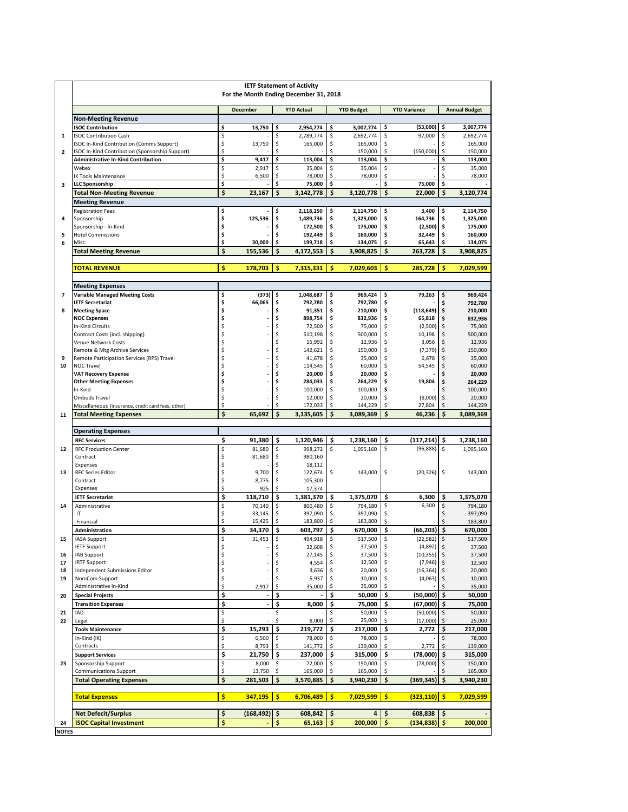|                          | <b>IETF Statement of Activity</b><br>For the Month Ending December 31, 2018                      |          |                          |          |                        |          |                        |          |                                 |          |                        |  |  |  |
|--------------------------|--------------------------------------------------------------------------------------------------|----------|--------------------------|----------|------------------------|----------|------------------------|----------|---------------------------------|----------|------------------------|--|--|--|
|                          |                                                                                                  |          | <b>December</b>          |          | <b>YTD Actual</b>      |          | <b>YTD Budget</b>      |          | <b>YTD Variance</b>             |          | <b>Annual Budget</b>   |  |  |  |
|                          | <b>Non-Meeting Revenue</b>                                                                       |          |                          |          |                        |          |                        |          |                                 |          |                        |  |  |  |
| 1                        | <b>ISOC Contribution</b><br><b>ISOC Contribution Cash</b>                                        | \$<br>\$ | 13,750                   | \$<br>\$ | 2,954,774<br>2,789,774 | \$<br>\$ | 3,007,774<br>2,692,774 | \$<br>\$ | (53,000)<br>97,000              | \$<br>\$ | 3,007,774<br>2,692,774 |  |  |  |
|                          | ISOC In-Kind Contribution (Comms Support)                                                        | \$       | 13,750                   | \$       | 165,000                | \$       | 165,000                | \$       |                                 | \$       | 165,000                |  |  |  |
| $\overline{2}$           | ISOC In-Kind Contribution (Sponsorship Support)                                                  | \$       |                          | \$       |                        | \$       | 150,000                | \$       | (150,000)                       | \$       | 150,000                |  |  |  |
|                          | <b>Administrative In-Kind Contribution</b><br>Webex                                              | \$<br>\$ | 9,417<br>2,917           | \$<br>\$ | 113,004<br>35,004      | \$<br>\$ | 113,004<br>35,004      | \$<br>\$ |                                 | \$<br>\$ | 113,000<br>35,000      |  |  |  |
|                          | <b>K Tools Maintenance</b>                                                                       | \$       | 6,500                    | \$       | 78,000                 | \$       | 78,000                 | \$       |                                 | \$       | 78,000                 |  |  |  |
| 3                        | <b>LLC Sponsorship</b>                                                                           | \$       |                          | \$       | 75,000                 | \$       |                        | \$       | 75,000                          | \$       |                        |  |  |  |
|                          | <b>Total Non-Meeting Revenue</b>                                                                 | \$       | 23,167                   | \$       | 3,142,778              | \$       | 3,120,778              | \$       | 22,000                          | \$       | 3,120,774              |  |  |  |
|                          | <b>Meeting Revenue</b>                                                                           |          |                          |          |                        |          |                        |          |                                 |          |                        |  |  |  |
| 4                        | <b>Registration Fees</b><br>Sponsorship                                                          | \$<br>\$ | 125.536                  | \$<br>\$ | 2,118,150<br>1,489,736 | \$<br>\$ | 2,114,750<br>1,325,000 | \$<br>\$ | 3,400<br>164,736                | \$<br>\$ | 2,114,750<br>1,325,000 |  |  |  |
|                          | Sponsorship - In-Kind                                                                            | \$       |                          | \$       | 172,500                | \$       | 175,000                | \$       | (2,500)                         | \$       | 175,000                |  |  |  |
| 5                        | <b>Hotel Commissions</b>                                                                         | \$       |                          | \$       | 192,449                | \$       | 160,000                | \$       | 32,449                          | \$       | 160,000                |  |  |  |
| 6                        | Misc.<br><b>Total Meeting Revenue</b>                                                            | \$<br>\$ | 30,000                   | \$       | 199,718                | \$<br>\$ | 134,075                | \$<br>\$ | 65,643                          | \$<br>\$ | 134,075                |  |  |  |
|                          | 155,536<br>\$<br>4,172,553<br>3,908,825<br>263,728<br>3,908,825                                  |          |                          |          |                        |          |                        |          |                                 |          |                        |  |  |  |
|                          | \$<br>\$<br>Ś<br>\$<br>Ś<br><b>TOTAL REVENUE</b><br>178,703<br>7,315,331<br>7,029,603<br>285,728 |          |                          |          |                        |          |                        |          |                                 |          | 7,029,599              |  |  |  |
|                          |                                                                                                  |          |                          |          |                        |          |                        |          |                                 |          |                        |  |  |  |
| $\overline{\phantom{a}}$ | <b>Meeting Expenses</b><br><b>Variable Managed Meeting Costs</b>                                 | \$       | (373)                    | \$       | 1,048,687              | \$       | 969,424                | \$       | 79,263                          | \$       | 969,424                |  |  |  |
|                          | <b>IETF Secretariat</b>                                                                          | \$       | 66,065                   | \$       | 792,780                | \$       | 792,780                | \$       |                                 | \$       | 792.780                |  |  |  |
| 8                        | <b>Meeting Space</b>                                                                             | \$       |                          | \$       | 91,351                 | \$       | 210,000                | \$       | (118, 649)                      | \$       | 210,000                |  |  |  |
|                          | <b>NOC Expenses</b><br><b>In-Kind Circuits</b>                                                   | \$<br>\$ |                          | \$<br>\$ | 898,754<br>72,500      | \$<br>\$ | 832,936<br>75,000      | \$<br>\$ | 65,818<br>(2,500)               | \$<br>\$ | 832,936<br>75,000      |  |  |  |
|                          | Contract Costs (incl. shipping)                                                                  | \$       |                          | \$       | 510,198                | \$       | 500,000                | \$       | 10,198                          | \$       | 500,000                |  |  |  |
|                          | Venue Network Costs                                                                              | Ś        |                          | \$       | 15,992                 | \$       | 12,936                 | \$       | 3,056                           | \$       | 12,936                 |  |  |  |
| 9                        | Remote & Mtg Archive Services<br>Remote Participation Services (RPS) Travel                      | Ś<br>Ś   |                          | \$<br>\$ | 142,621<br>41,678      | \$<br>\$ | 150,000<br>35,000      | \$<br>\$ | (7, 379)<br>6,678               | \$<br>\$ | 150,000<br>35,000      |  |  |  |
| 10                       | <b>NOC Travel</b>                                                                                | \$       |                          | \$       | 114,545                | \$       | 60,000                 | \$       | 54,545                          | \$       | 60,000                 |  |  |  |
|                          | <b>VAT Recovery Expense</b>                                                                      | \$       |                          | \$       | 20,000                 | \$       | 20,000                 | \$       |                                 | \$       | 20,000                 |  |  |  |
|                          | <b>Other Meeting Expenses</b>                                                                    | \$       |                          | \$       | 284,033                | \$       | 264,229                | \$       | 19,804                          | \$       | 264,229                |  |  |  |
|                          | In-Kind<br><b>Ombuds Travel</b>                                                                  | \$<br>\$ |                          | \$<br>\$ | 100,000<br>12,000      | \$<br>\$ | 100,000<br>20,000      | \$<br>\$ | (8,000)                         | \$<br>\$ | 100,000<br>20,000      |  |  |  |
|                          | Miscellaneous (insurance, credit card fees, other)                                               | \$       |                          | Ś        | 172,033                | \$       | 144,229                | Ś        | 27,804                          | \$       | 144,229                |  |  |  |
| 11                       | <b>Total Meeting Expenses</b>                                                                    | \$       | 65,692                   | \$       | 3,135,605              | \$       | 3,089,369              | \$       | 46,236                          | \$       | 3,089,369              |  |  |  |
|                          | <b>Operating Expenses</b>                                                                        |          |                          |          |                        |          |                        |          |                                 |          |                        |  |  |  |
|                          | <b>RFC Services</b>                                                                              | \$       | 91,380                   | \$       | 1,120,946              | \$       | 1,238,160              | \$       | (117, 214)                      | \$       | 1,238,160              |  |  |  |
| 12                       | <b>RFC Production Center</b>                                                                     | \$       | 81,680                   | \$       | 998,272                | \$       | 1,095,160              | \$       | (96, 888)                       | \$       | 1,095,160              |  |  |  |
|                          | Contract                                                                                         | \$       | 81,680                   | \$       | 980,160                |          |                        |          |                                 |          |                        |  |  |  |
| 13                       | Expenses<br><b>RFC Series Editor</b>                                                             | \$<br>\$ | 9,700                    | \$<br>\$ | 18,112<br>122,674      | \$       | 143,000                | \$       | (20, 326)                       | \$       | 143,000                |  |  |  |
|                          | Contract                                                                                         | \$       | 8,775                    | \$       | 105,300                |          |                        |          |                                 |          |                        |  |  |  |
|                          | Expenses                                                                                         | \$       | 925                      | \$       | 17,374                 |          |                        |          |                                 |          |                        |  |  |  |
| 14                       | <b>IETF Secretariat</b><br>Administrative                                                        | \$<br>\$ | 118,710<br>70,140        | \$<br>\$ | 1,381,370<br>800,480   | \$<br>\$ | 1,375,070<br>794,180   | \$<br>\$ | 6,300<br>6,300                  | \$<br>\$ | 1,375,070<br>794,180   |  |  |  |
|                          | IT                                                                                               | \$       | 33,145                   | \$       | 397,090                | \$       | 397,090                | \$       |                                 | Ś        | 397,090                |  |  |  |
|                          | Financial                                                                                        | \$       | 15,425                   | \$       | 183,800                | \$       | 183,800                | Ś        |                                 |          | 183,800                |  |  |  |
|                          | Administration                                                                                   | \$       | 34,370                   | \$       | 603,797                | \$       | 670,000                | \$       | (66, 203)                       | \$       | 670,000                |  |  |  |
| 15                       | IASA Support<br><b>IETF Support</b>                                                              | \$       | 31,453                   | \$       | 494,918<br>32,608      | Ş<br>\$  | 517,500<br>37,500      | Ş<br>\$  | $(22,582)$   \$<br>$(4,892)$ \$ |          | 517,500<br>37,500      |  |  |  |
| 16                       | <b>IAB Support</b>                                                                               | \$       |                          | \$       | 27,145                 | \$       | 37,500                 |          | (10, 355)                       | \$       | 37,500                 |  |  |  |
| 17                       | <b>IRTF Support</b>                                                                              | \$       |                          | \$       | 4,554                  |          | 12,500                 |          | (7,946)                         | \$       | 12,500                 |  |  |  |
| 18<br>19                 | Independent Submissions Editor<br>NomCom Support                                                 | \$<br>\$ |                          | \$       | 3,636<br>5,937         | \$       | 20,000<br>10,000       | \$       | (16, 364)<br>(4,063)            | \$<br>\$ | 20,000<br>10,000       |  |  |  |
|                          | Administrative In-Kind                                                                           | \$       | 2,917                    | \$       | 35,000                 | \$       | 35,000                 | \$       |                                 |          | 35,000                 |  |  |  |
| 20                       | <b>Special Projects</b>                                                                          | \$       |                          | \$       |                        | \$       | 50,000                 | \$       | (50,000)                        | \$       | 50,000                 |  |  |  |
|                          | <b>Transition Expenses</b>                                                                       | \$       | $\blacksquare$           | \$       | 8,000                  | \$       | 75,000                 | \$       | (67,000)                        | \$       | 75,000                 |  |  |  |
| 21<br>22                 | <b>IAD</b><br>Legal                                                                              | \$<br>\$ | $\overline{\phantom{a}}$ | \$<br>\$ | 8,000                  | \$<br>\$ | 50,000<br>25,000       | \$       | (50,000)<br>(17,000)            | \$<br>\$ | 50,000<br>25,000       |  |  |  |
|                          | <b>Tools Maintenance</b>                                                                         | \$       | 15,293                   | \$       | 219,772                | \$       | 217,000                | \$       | 2,772                           | \$       | 217,000                |  |  |  |
|                          | In-Kind (IK)                                                                                     | \$       | 6,500                    | \$       | 78,000                 | \$       | 78,000                 | \$       |                                 | \$       | 78,000                 |  |  |  |
|                          | Contracts                                                                                        | \$       | 8,793                    |          | 141,772                |          | 139,000                |          | 2,772                           |          | 139,000                |  |  |  |
| 23                       | <b>Support Services</b><br>Sponsorship Support                                                   | \$<br>\$ | 21,750<br>8,000          | \$<br>\$ | 237,000<br>72,000      | \$<br>\$ | 315,000<br>150,000     | \$<br>\$ | (78,000)<br>(78,000)            | \$<br>\$ | 315,000<br>150,000     |  |  |  |
|                          | <b>Communications Support</b>                                                                    | \$       | 13,750                   | \$       | 165,000                | \$       | 165,000                |          |                                 |          | 165,000                |  |  |  |
|                          | <b>Total Operating Expenses</b>                                                                  | \$       | 281,503                  | \$       | 3,570,885              | \$       | 3,940,230              | \$       | (369, 345)                      | \$       | 3,940,230              |  |  |  |
|                          | <b>Total Expenses</b>                                                                            | \$       | 347,195                  | \$       | 6,706,489              | \$       | 7,029,599              | \$       | (323, 110)                      | -\$      | 7,029,599              |  |  |  |
|                          |                                                                                                  | \$       | $(168, 492)$ \$          |          | 608,842                |          | 4                      | \$       | 608,838                         | \$       |                        |  |  |  |
| 24                       | <b>Net Defecit/Surplus</b><br><b>ISOC Capital Investment</b>                                     | \$       | ä,                       | \$       | 65,163                 | \$<br>\$ | 200,000                | \$       | (134, 838)                      | \$       | 200,000                |  |  |  |
| <b>NOTES</b>             |                                                                                                  |          |                          |          |                        |          |                        |          |                                 |          |                        |  |  |  |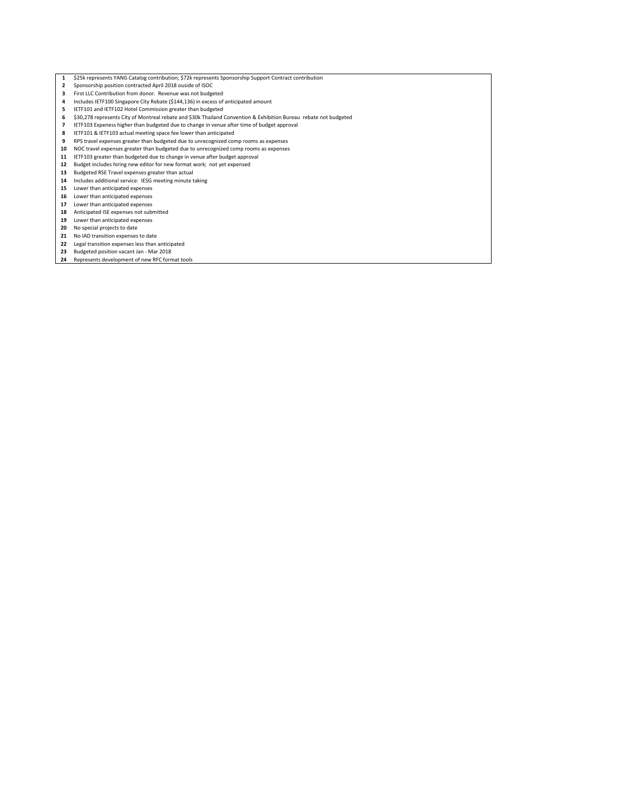- \$25k represents YANG Catalog contribution; \$72k represents Sponsorship Support Contract contribution
- Sponsorship position contracted April 2018 ouside of ISOC
- First LLC Contribution from donor. Revenue was not budgeted
- Includes IETF100 Singapore City Rebate (\$144,136) in excess of anticipated amount
- IETF101 and IETF102 Hotel Commission greater than budgeted
- \$30,278 represents City of Montreal rebate and \$30k Thailand Convention & Exhibition Bureau rebate not budgeted
- IETF103 Expeness higher than budgeted due to change in venue after time of budget approval
- 8 IETF101 & IETF103 actual meeting space fee lower than anticipated<br>9 RPS travel expenses greater than budgeted due to unrecognized com
- RPS travel expenses greater than budgeted due to unrecognized comp rooms as expenses
- NOC travel expenses greater than budgeted due to unrecognized comp rooms as expenses
- IETF103 greater than budgeted due to change in venue after budget approval
- Budget includes hiring new editor for new format work; not yet expensed
- Budgeted RSE Travel expenses greater than actual
- Includes additional service: IESG meeting minute taking
- Lower than anticipated expenses
- 16 Lower than anticipated expenses
- Lower than anticipated expenses
- Anticipated ISE expenses not submitted Lower than anticipated expenses
- 
- 20 No special projects to date
- 21 No IAD transition expenses to date
- Legal transition expenses less than anticipated
- Budgeted position vacant Jan Mar 2018
- Represents development of new RFC format tools